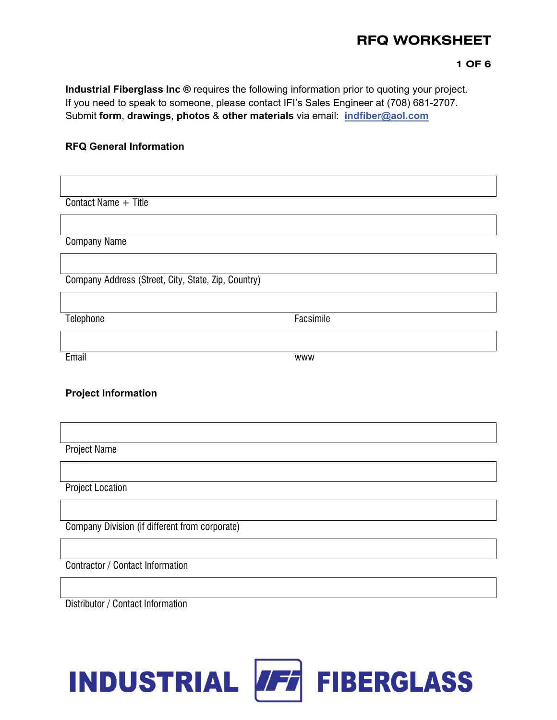#### **1 OF 6**

**Industrial Fiberglass Inc ®** requires the following information prior to quoting your project. If you need to speak to someone, please contact IFI's Sales Engineer at (708) 681-2707. Submit **form**, **drawings**, **photos** & **other materials** via email: **indfiber@aol.com**

### **RFQ General Information**

Contact Name + Title

Company Name

Company Address (Street, City, State, Zip, Country)

Telephone Facsimile

Email www

### **Project Information**

Project Name

Project Location

Company Division (if different from corporate)

Contractor / Contact Information

Distributor / Contact Information

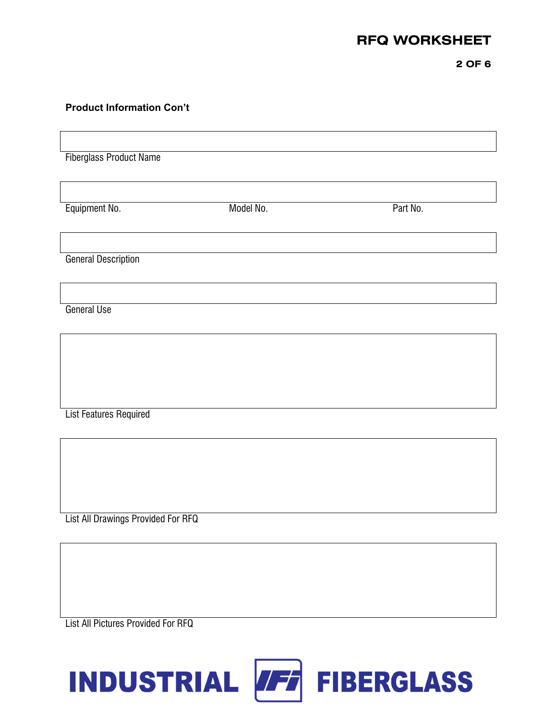**2 OF 6** 

### **Product Information Con't**

Fiberglass Product Name

Equipment No. **Example 20** Model No. **Part No.** Part No.

General Description

General Use

List Features Required

List All Drawings Provided For RFQ

List All Pictures Provided For RFQ

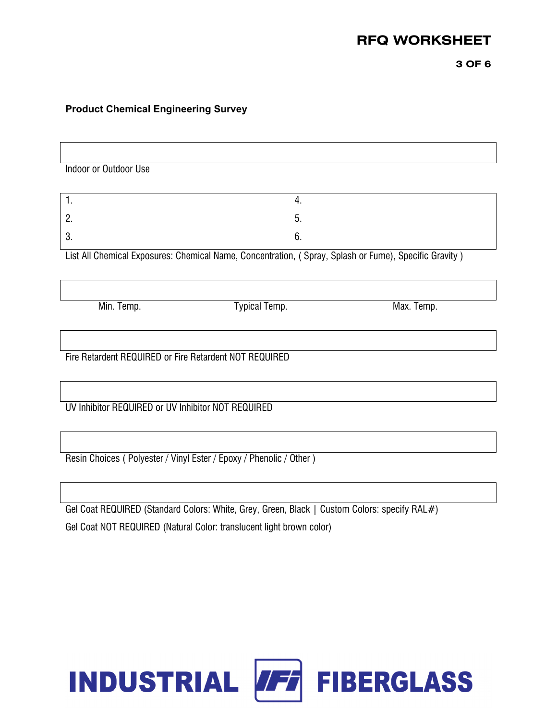**3 OF 6** 

## **Product Chemical Engineering Survey**

Indoor or Outdoor Use  $1.$  4. 2.  $5.$  $3.6.$ List All Chemical Exposures: Chemical Name, Concentration, ( Spray, Splash or Fume), Specific Gravity ) Min. Temp. **Min. Temp.** Typical Temp. **Min. Temp.** Max. Temp. Fire Retardent REQUIRED or Fire Retardent NOT REQUIRED UV Inhibitor REQUIRED or UV Inhibitor NOT REQUIRED

Gel Coat REQUIRED (Standard Colors: White, Grey, Green, Black | Custom Colors: specify RAL#) Gel Coat NOT REQUIRED (Natural Color: translucent light brown color)

Resin Choices ( Polyester / Vinyl Ester / Epoxy / Phenolic / Other )

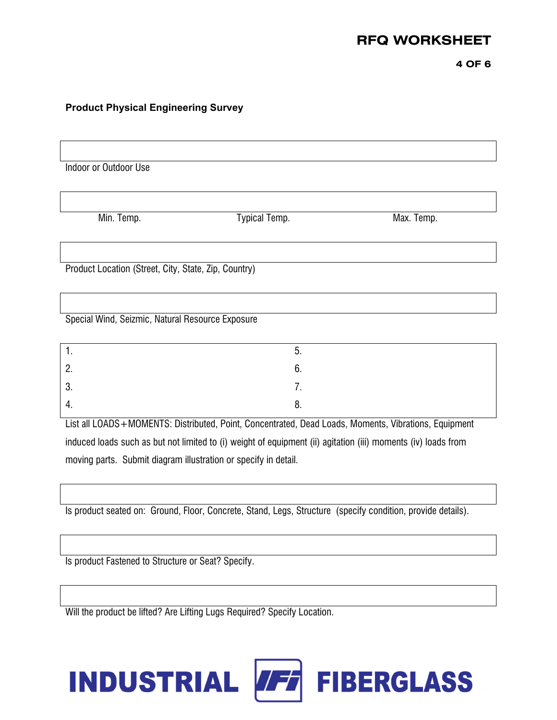**4 OF 6** 

## **Product Physical Engineering Survey**

| Indoor or Outdoor Use                                |               |            |
|------------------------------------------------------|---------------|------------|
|                                                      |               |            |
| Min. Temp.                                           | Typical Temp. | Max. Temp. |
|                                                      |               |            |
|                                                      |               |            |
| Product Location (Street, City, State, Zip, Country) |               |            |
|                                                      |               |            |
|                                                      |               |            |
| Special Wind, Seizmic, Natural Resource Exposure     |               |            |
| 1.                                                   | 5.            |            |
|                                                      |               |            |
| 2.                                                   | 6.            |            |
| 3.                                                   | 7.            |            |
| 4.                                                   | 8.            |            |

List all LOADS+MOMENTS: Distributed, Point, Concentrated, Dead Loads, Moments, Vibrations, Equipment induced loads such as but not limited to (i) weight of equipment (ii) agitation (iii) moments (iv) loads from moving parts. Submit diagram illustration or specify in detail.

Is product seated on: Ground, Floor, Concrete, Stand, Legs, Structure (specify condition, provide details).

Is product Fastened to Structure or Seat? Specify.

Will the product be lifted? Are Lifting Lugs Required? Specify Location.

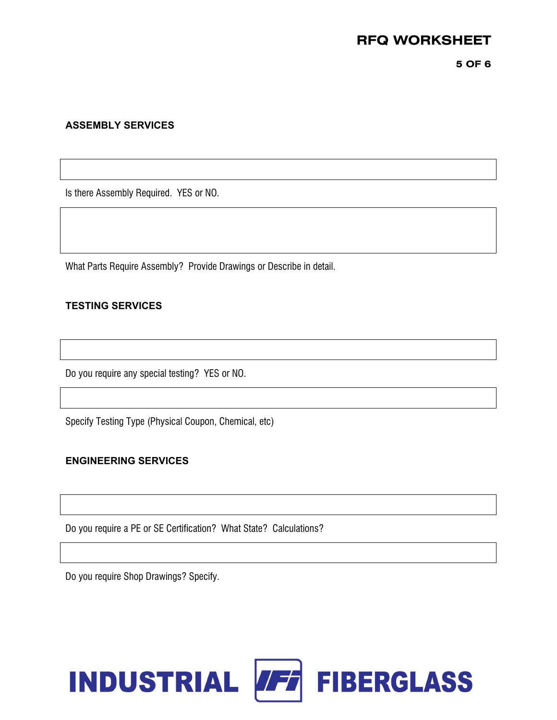**5 OF 6** 

### **ASSEMBLY SERVICES**

Is there Assembly Required. YES or NO.

What Parts Require Assembly? Provide Drawings or Describe in detail.

### **TESTING SERVICES**

Do you require any special testing? YES or NO.

Specify Testing Type (Physical Coupon, Chemical, etc)

### **ENGINEERING SERVICES**

Do you require a PE or SE Certification? What State? Calculations?

Do you require Shop Drawings? Specify.